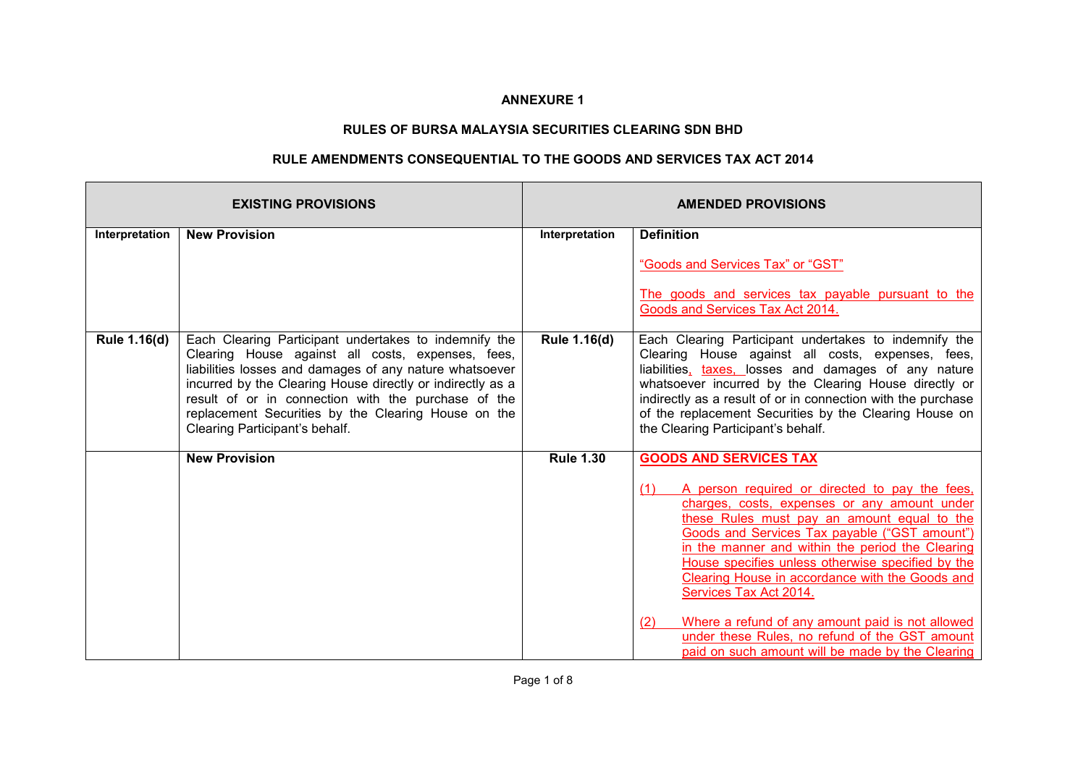## **ANNEXURE 1**

## **RULES OF BURSA MALAYSIA SECURITIES CLEARING SDN BHD**

## **RULE AMENDMENTS CONSEQUENTIAL TO THE GOODS AND SERVICES TAX ACT 2014**

|                | <b>EXISTING PROVISIONS</b>                                                                                                                                                                                                                                                                                                                                                          | <b>AMENDED PROVISIONS</b> |                                                                                                                                                                                                                                                                                                                                                                                                                                                                                                                                                                                               |  |
|----------------|-------------------------------------------------------------------------------------------------------------------------------------------------------------------------------------------------------------------------------------------------------------------------------------------------------------------------------------------------------------------------------------|---------------------------|-----------------------------------------------------------------------------------------------------------------------------------------------------------------------------------------------------------------------------------------------------------------------------------------------------------------------------------------------------------------------------------------------------------------------------------------------------------------------------------------------------------------------------------------------------------------------------------------------|--|
| Interpretation | <b>New Provision</b>                                                                                                                                                                                                                                                                                                                                                                | Interpretation            | <b>Definition</b><br>"Goods and Services Tax" or "GST"<br>The goods and services tax payable pursuant to the                                                                                                                                                                                                                                                                                                                                                                                                                                                                                  |  |
| Rule 1.16(d)   | Each Clearing Participant undertakes to indemnify the<br>Clearing House against all costs, expenses, fees,<br>liabilities losses and damages of any nature whatsoever<br>incurred by the Clearing House directly or indirectly as a<br>result of or in connection with the purchase of the<br>replacement Securities by the Clearing House on the<br>Clearing Participant's behalf. | Rule 1.16(d)              | Goods and Services Tax Act 2014.<br>Each Clearing Participant undertakes to indemnify the<br>Clearing House against all costs, expenses, fees,<br>liabilities, taxes, losses and damages of any nature<br>whatsoever incurred by the Clearing House directly or<br>indirectly as a result of or in connection with the purchase<br>of the replacement Securities by the Clearing House on<br>the Clearing Participant's behalf.                                                                                                                                                               |  |
|                | <b>New Provision</b>                                                                                                                                                                                                                                                                                                                                                                | <b>Rule 1.30</b>          | <b>GOODS AND SERVICES TAX</b><br>A person required or directed to pay the fees,<br>(1)<br>charges, costs, expenses or any amount under<br>these Rules must pay an amount equal to the<br>Goods and Services Tax payable ("GST amount")<br>in the manner and within the period the Clearing<br>House specifies unless otherwise specified by the<br>Clearing House in accordance with the Goods and<br>Services Tax Act 2014.<br>Where a refund of any amount paid is not allowed<br>(2)<br>under these Rules, no refund of the GST amount<br>paid on such amount will be made by the Clearing |  |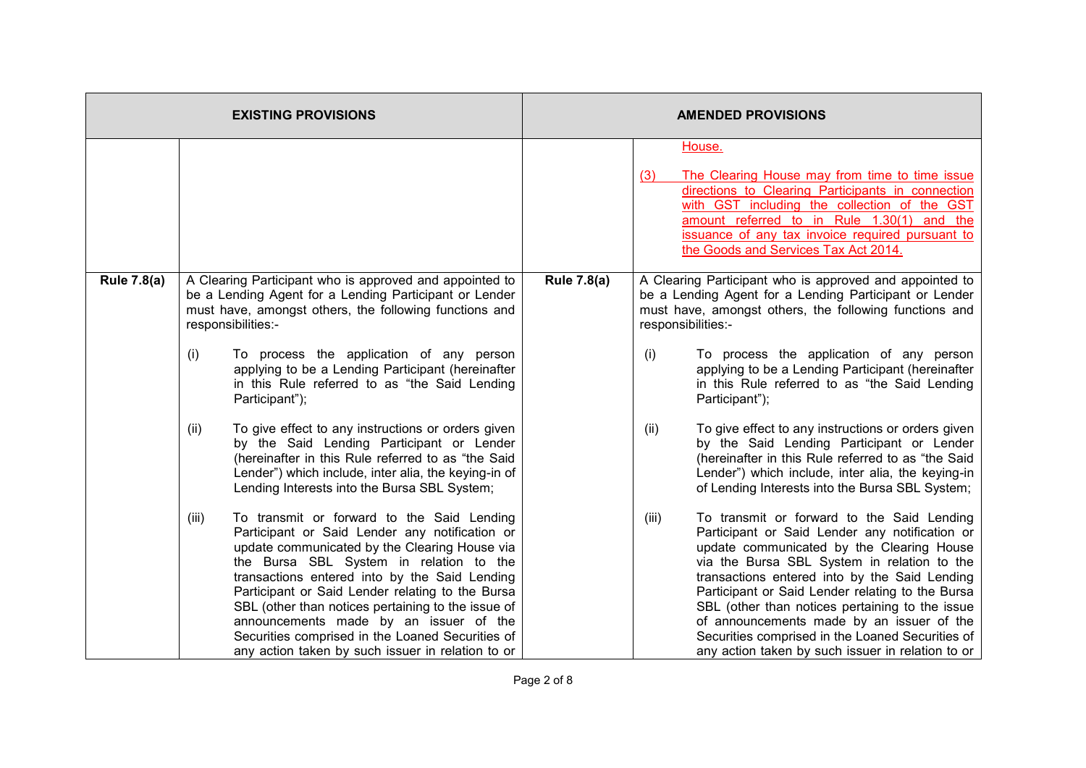|                    | <b>EXISTING PROVISIONS</b>                                                                                                                                                                                                                                                                                                                                                                                                                                                                                      | <b>AMENDED PROVISIONS</b> |                                                                                                                                                                                                                                                                                                                                                                                                                                                                                                                 |  |
|--------------------|-----------------------------------------------------------------------------------------------------------------------------------------------------------------------------------------------------------------------------------------------------------------------------------------------------------------------------------------------------------------------------------------------------------------------------------------------------------------------------------------------------------------|---------------------------|-----------------------------------------------------------------------------------------------------------------------------------------------------------------------------------------------------------------------------------------------------------------------------------------------------------------------------------------------------------------------------------------------------------------------------------------------------------------------------------------------------------------|--|
|                    |                                                                                                                                                                                                                                                                                                                                                                                                                                                                                                                 |                           | House.<br>The Clearing House may from time to time issue<br>(3)<br>directions to Clearing Participants in connection<br>with GST including the collection of the GST<br>amount referred to in Rule 1.30(1) and the<br>issuance of any tax invoice required pursuant to<br>the Goods and Services Tax Act 2014.                                                                                                                                                                                                  |  |
| <b>Rule 7.8(a)</b> | <b>Rule 7.8(a)</b><br>A Clearing Participant who is approved and appointed to<br>be a Lending Agent for a Lending Participant or Lender<br>must have, amongst others, the following functions and<br>responsibilities:-                                                                                                                                                                                                                                                                                         |                           | A Clearing Participant who is approved and appointed to<br>be a Lending Agent for a Lending Participant or Lender<br>must have, amongst others, the following functions and<br>responsibilities:-                                                                                                                                                                                                                                                                                                               |  |
|                    | (i)<br>To process the application of any person<br>applying to be a Lending Participant (hereinafter<br>in this Rule referred to as "the Said Lending<br>Participant");                                                                                                                                                                                                                                                                                                                                         |                           | To process the application of any person<br>(i)<br>applying to be a Lending Participant (hereinafter<br>in this Rule referred to as "the Said Lending<br>Participant");                                                                                                                                                                                                                                                                                                                                         |  |
|                    | To give effect to any instructions or orders given<br>(ii)<br>by the Said Lending Participant or Lender<br>(hereinafter in this Rule referred to as "the Said<br>Lender") which include, inter alia, the keying-in of<br>Lending Interests into the Bursa SBL System;                                                                                                                                                                                                                                           |                           | To give effect to any instructions or orders given<br>(ii)<br>by the Said Lending Participant or Lender<br>(hereinafter in this Rule referred to as "the Said<br>Lender") which include, inter alia, the keying-in<br>of Lending Interests into the Bursa SBL System;                                                                                                                                                                                                                                           |  |
|                    | To transmit or forward to the Said Lending<br>(iii)<br>Participant or Said Lender any notification or<br>update communicated by the Clearing House via<br>the Bursa SBL System in relation to the<br>transactions entered into by the Said Lending<br>Participant or Said Lender relating to the Bursa<br>SBL (other than notices pertaining to the issue of<br>announcements made by an issuer of the<br>Securities comprised in the Loaned Securities of<br>any action taken by such issuer in relation to or |                           | (iii)<br>To transmit or forward to the Said Lending<br>Participant or Said Lender any notification or<br>update communicated by the Clearing House<br>via the Bursa SBL System in relation to the<br>transactions entered into by the Said Lending<br>Participant or Said Lender relating to the Bursa<br>SBL (other than notices pertaining to the issue<br>of announcements made by an issuer of the<br>Securities comprised in the Loaned Securities of<br>any action taken by such issuer in relation to or |  |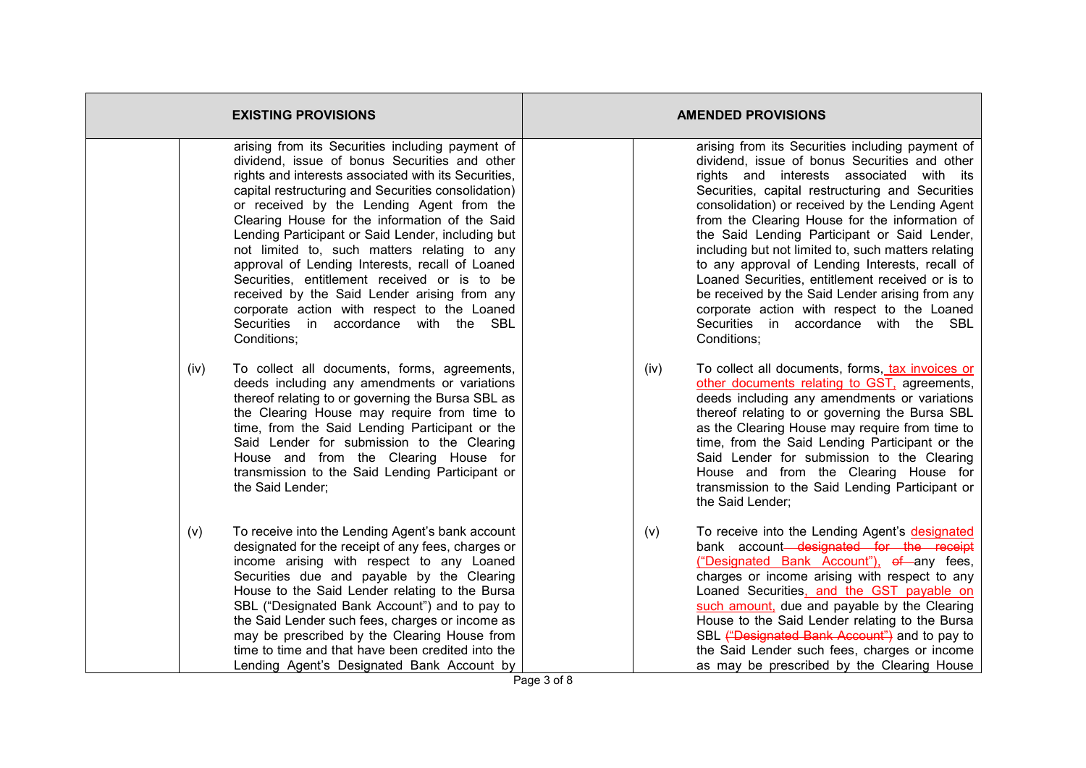| <b>EXISTING PROVISIONS</b>                                                                                                                                                                                                                                                                                                                                                                                               | <b>AMENDED PROVISIONS</b>                                                                                                                                                                                                                                                                                                                                                                                                                                                    |  |  |
|--------------------------------------------------------------------------------------------------------------------------------------------------------------------------------------------------------------------------------------------------------------------------------------------------------------------------------------------------------------------------------------------------------------------------|------------------------------------------------------------------------------------------------------------------------------------------------------------------------------------------------------------------------------------------------------------------------------------------------------------------------------------------------------------------------------------------------------------------------------------------------------------------------------|--|--|
| arising from its Securities including payment of                                                                                                                                                                                                                                                                                                                                                                         | arising from its Securities including payment of                                                                                                                                                                                                                                                                                                                                                                                                                             |  |  |
| dividend, issue of bonus Securities and other                                                                                                                                                                                                                                                                                                                                                                            | dividend, issue of bonus Securities and other                                                                                                                                                                                                                                                                                                                                                                                                                                |  |  |
| rights and interests associated with its Securities,                                                                                                                                                                                                                                                                                                                                                                     | rights and interests associated with its                                                                                                                                                                                                                                                                                                                                                                                                                                     |  |  |
| capital restructuring and Securities consolidation)                                                                                                                                                                                                                                                                                                                                                                      | Securities, capital restructuring and Securities                                                                                                                                                                                                                                                                                                                                                                                                                             |  |  |
| or received by the Lending Agent from the                                                                                                                                                                                                                                                                                                                                                                                | consolidation) or received by the Lending Agent                                                                                                                                                                                                                                                                                                                                                                                                                              |  |  |
| Clearing House for the information of the Said                                                                                                                                                                                                                                                                                                                                                                           | from the Clearing House for the information of                                                                                                                                                                                                                                                                                                                                                                                                                               |  |  |
| Lending Participant or Said Lender, including but                                                                                                                                                                                                                                                                                                                                                                        | the Said Lending Participant or Said Lender,                                                                                                                                                                                                                                                                                                                                                                                                                                 |  |  |
| not limited to, such matters relating to any                                                                                                                                                                                                                                                                                                                                                                             | including but not limited to, such matters relating                                                                                                                                                                                                                                                                                                                                                                                                                          |  |  |
| approval of Lending Interests, recall of Loaned                                                                                                                                                                                                                                                                                                                                                                          | to any approval of Lending Interests, recall of                                                                                                                                                                                                                                                                                                                                                                                                                              |  |  |
| Securities, entitlement received or is to be                                                                                                                                                                                                                                                                                                                                                                             | Loaned Securities, entitlement received or is to                                                                                                                                                                                                                                                                                                                                                                                                                             |  |  |
| received by the Said Lender arising from any                                                                                                                                                                                                                                                                                                                                                                             | be received by the Said Lender arising from any                                                                                                                                                                                                                                                                                                                                                                                                                              |  |  |
| corporate action with respect to the Loaned                                                                                                                                                                                                                                                                                                                                                                              | corporate action with respect to the Loaned                                                                                                                                                                                                                                                                                                                                                                                                                                  |  |  |
| Securities in accordance with the SBL                                                                                                                                                                                                                                                                                                                                                                                    | Securities in accordance with the SBL                                                                                                                                                                                                                                                                                                                                                                                                                                        |  |  |
| Conditions;                                                                                                                                                                                                                                                                                                                                                                                                              | Conditions;                                                                                                                                                                                                                                                                                                                                                                                                                                                                  |  |  |
| To collect all documents, forms, agreements,<br>(iv)<br>deeds including any amendments or variations<br>thereof relating to or governing the Bursa SBL as<br>the Clearing House may require from time to<br>time, from the Said Lending Participant or the<br>Said Lender for submission to the Clearing<br>House and from the Clearing House for<br>transmission to the Said Lending Participant or<br>the Said Lender; | To collect all documents, forms, tax invoices or<br>(iv)<br>other documents relating to GST, agreements,<br>deeds including any amendments or variations<br>thereof relating to or governing the Bursa SBL<br>as the Clearing House may require from time to<br>time, from the Said Lending Participant or the<br>Said Lender for submission to the Clearing<br>House and from the Clearing House for<br>transmission to the Said Lending Participant or<br>the Said Lender; |  |  |
| To receive into the Lending Agent's bank account                                                                                                                                                                                                                                                                                                                                                                         | To receive into the Lending Agent's designated                                                                                                                                                                                                                                                                                                                                                                                                                               |  |  |
| (v)                                                                                                                                                                                                                                                                                                                                                                                                                      | (v)                                                                                                                                                                                                                                                                                                                                                                                                                                                                          |  |  |
| designated for the receipt of any fees, charges or                                                                                                                                                                                                                                                                                                                                                                       | bank account-designated for the receipt                                                                                                                                                                                                                                                                                                                                                                                                                                      |  |  |
| income arising with respect to any Loaned                                                                                                                                                                                                                                                                                                                                                                                | ("Designated Bank Account"), of any fees,                                                                                                                                                                                                                                                                                                                                                                                                                                    |  |  |
| Securities due and payable by the Clearing                                                                                                                                                                                                                                                                                                                                                                               | charges or income arising with respect to any                                                                                                                                                                                                                                                                                                                                                                                                                                |  |  |
| House to the Said Lender relating to the Bursa                                                                                                                                                                                                                                                                                                                                                                           | Loaned Securities, and the GST payable on                                                                                                                                                                                                                                                                                                                                                                                                                                    |  |  |
| SBL ("Designated Bank Account") and to pay to                                                                                                                                                                                                                                                                                                                                                                            | such amount, due and payable by the Clearing                                                                                                                                                                                                                                                                                                                                                                                                                                 |  |  |
| the Said Lender such fees, charges or income as                                                                                                                                                                                                                                                                                                                                                                          | House to the Said Lender relating to the Bursa                                                                                                                                                                                                                                                                                                                                                                                                                               |  |  |
| may be prescribed by the Clearing House from                                                                                                                                                                                                                                                                                                                                                                             | SBL ("Designated Bank Account") and to pay to                                                                                                                                                                                                                                                                                                                                                                                                                                |  |  |
| time to time and that have been credited into the                                                                                                                                                                                                                                                                                                                                                                        | the Said Lender such fees, charges or income                                                                                                                                                                                                                                                                                                                                                                                                                                 |  |  |
| Lending Agent's Designated Bank Account by                                                                                                                                                                                                                                                                                                                                                                               | as may be prescribed by the Clearing House                                                                                                                                                                                                                                                                                                                                                                                                                                   |  |  |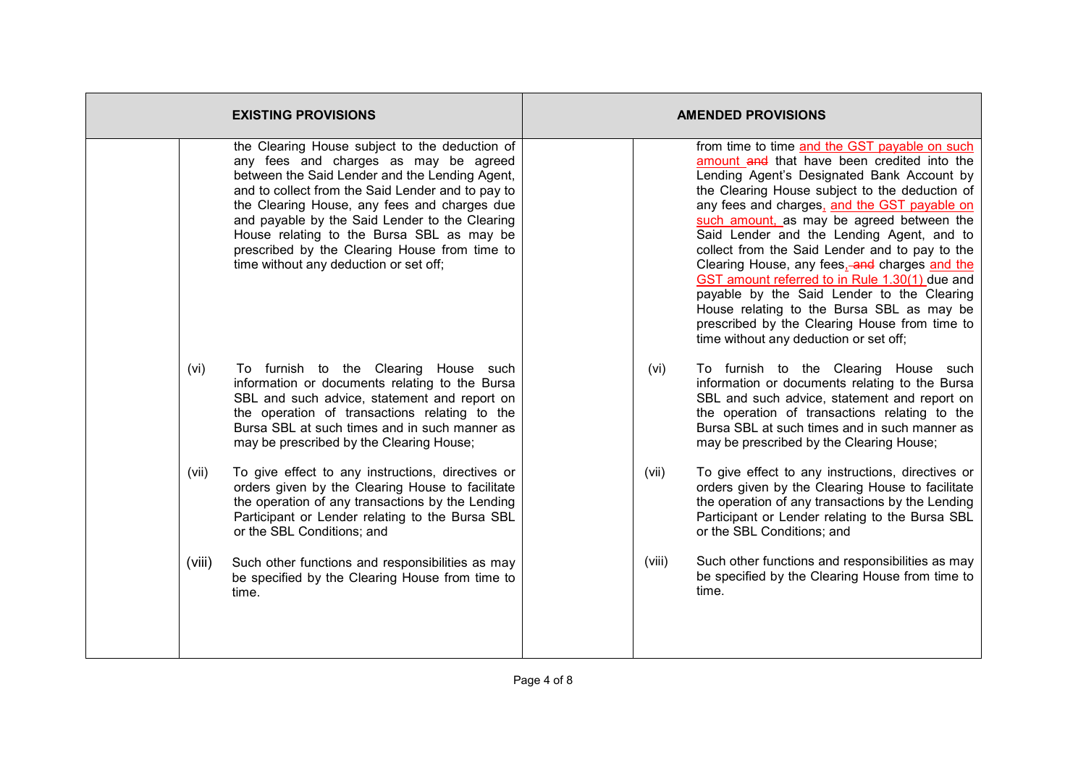| <b>EXISTING PROVISIONS</b> |                                                                                                                                                                                                                                                                                                                                                                                                                                          | <b>AMENDED PROVISIONS</b>                                                                                                                                                                                                                                                                                                                                                                                                                                                                                                                                                                                                                                                         |  |  |
|----------------------------|------------------------------------------------------------------------------------------------------------------------------------------------------------------------------------------------------------------------------------------------------------------------------------------------------------------------------------------------------------------------------------------------------------------------------------------|-----------------------------------------------------------------------------------------------------------------------------------------------------------------------------------------------------------------------------------------------------------------------------------------------------------------------------------------------------------------------------------------------------------------------------------------------------------------------------------------------------------------------------------------------------------------------------------------------------------------------------------------------------------------------------------|--|--|
|                            | the Clearing House subject to the deduction of<br>any fees and charges as may be agreed<br>between the Said Lender and the Lending Agent,<br>and to collect from the Said Lender and to pay to<br>the Clearing House, any fees and charges due<br>and payable by the Said Lender to the Clearing<br>House relating to the Bursa SBL as may be<br>prescribed by the Clearing House from time to<br>time without any deduction or set off; | from time to time and the GST payable on such<br>amount and that have been credited into the<br>Lending Agent's Designated Bank Account by<br>the Clearing House subject to the deduction of<br>any fees and charges, and the GST payable on<br>such amount, as may be agreed between the<br>Said Lender and the Lending Agent, and to<br>collect from the Said Lender and to pay to the<br>Clearing House, any fees, and charges and the<br>GST amount referred to in Rule 1.30(1) due and<br>payable by the Said Lender to the Clearing<br>House relating to the Bursa SBL as may be<br>prescribed by the Clearing House from time to<br>time without any deduction or set off; |  |  |
| (vi)                       | To furnish to the Clearing House such<br>information or documents relating to the Bursa<br>SBL and such advice, statement and report on<br>the operation of transactions relating to the<br>Bursa SBL at such times and in such manner as<br>may be prescribed by the Clearing House;                                                                                                                                                    | To furnish to the Clearing House such<br>(vi)<br>information or documents relating to the Bursa<br>SBL and such advice, statement and report on<br>the operation of transactions relating to the<br>Bursa SBL at such times and in such manner as<br>may be prescribed by the Clearing House;                                                                                                                                                                                                                                                                                                                                                                                     |  |  |
| (vii)                      | To give effect to any instructions, directives or<br>orders given by the Clearing House to facilitate<br>the operation of any transactions by the Lending<br>Participant or Lender relating to the Bursa SBL<br>or the SBL Conditions; and                                                                                                                                                                                               | To give effect to any instructions, directives or<br>(vii)<br>orders given by the Clearing House to facilitate<br>the operation of any transactions by the Lending<br>Participant or Lender relating to the Bursa SBL<br>or the SBL Conditions; and                                                                                                                                                                                                                                                                                                                                                                                                                               |  |  |
| (viii)                     | Such other functions and responsibilities as may<br>be specified by the Clearing House from time to<br>time.                                                                                                                                                                                                                                                                                                                             | Such other functions and responsibilities as may<br>(viii)<br>be specified by the Clearing House from time to<br>time.                                                                                                                                                                                                                                                                                                                                                                                                                                                                                                                                                            |  |  |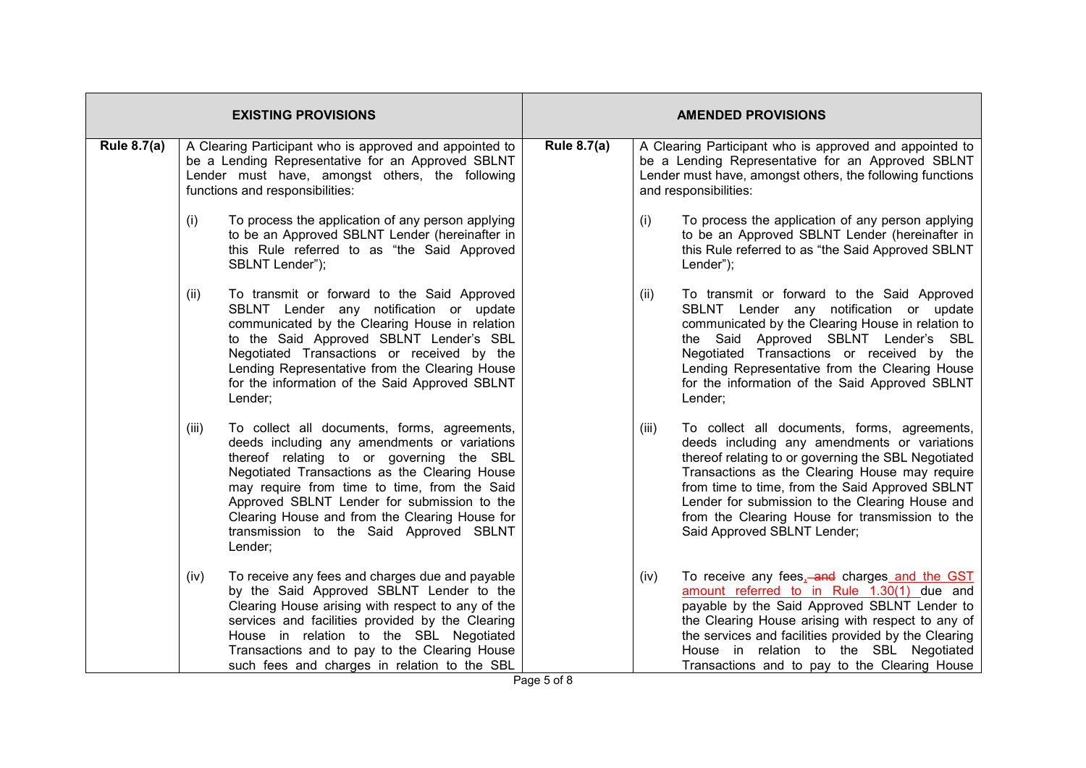| <b>EXISTING PROVISIONS</b> |                                                                                                                                                                                                    |                                                                                                                                                                                                                                                                                                                                                                                                  | <b>AMENDED PROVISIONS</b> |       |                                                                                                                                                                                                                                                                                                                                                                                               |  |  |
|----------------------------|----------------------------------------------------------------------------------------------------------------------------------------------------------------------------------------------------|--------------------------------------------------------------------------------------------------------------------------------------------------------------------------------------------------------------------------------------------------------------------------------------------------------------------------------------------------------------------------------------------------|---------------------------|-------|-----------------------------------------------------------------------------------------------------------------------------------------------------------------------------------------------------------------------------------------------------------------------------------------------------------------------------------------------------------------------------------------------|--|--|
| <b>Rule 8.7(a)</b>         | A Clearing Participant who is approved and appointed to<br>be a Lending Representative for an Approved SBLNT<br>Lender must have, amongst others, the following<br>functions and responsibilities: |                                                                                                                                                                                                                                                                                                                                                                                                  | <b>Rule 8.7(a)</b>        |       | A Clearing Participant who is approved and appointed to<br>be a Lending Representative for an Approved SBLNT<br>Lender must have, amongst others, the following functions<br>and responsibilities:                                                                                                                                                                                            |  |  |
|                            | (i)                                                                                                                                                                                                | To process the application of any person applying<br>to be an Approved SBLNT Lender (hereinafter in<br>this Rule referred to as "the Said Approved<br>SBLNT Lender");                                                                                                                                                                                                                            |                           | (i)   | To process the application of any person applying<br>to be an Approved SBLNT Lender (hereinafter in<br>this Rule referred to as "the Said Approved SBLNT<br>Lender");                                                                                                                                                                                                                         |  |  |
|                            | (ii)                                                                                                                                                                                               | To transmit or forward to the Said Approved<br>SBLNT Lender any notification or update<br>communicated by the Clearing House in relation<br>to the Said Approved SBLNT Lender's SBL<br>Negotiated Transactions or received by the<br>Lending Representative from the Clearing House<br>for the information of the Said Approved SBLNT<br>Lender;                                                 |                           | (ii)  | To transmit or forward to the Said Approved<br>SBLNT Lender any notification or update<br>communicated by the Clearing House in relation to<br>the Said Approved SBLNT Lender's SBL<br>Negotiated Transactions or received by the<br>Lending Representative from the Clearing House<br>for the information of the Said Approved SBLNT<br>Lender;                                              |  |  |
|                            | (iii)                                                                                                                                                                                              | To collect all documents, forms, agreements,<br>deeds including any amendments or variations<br>thereof relating to or governing the SBL<br>Negotiated Transactions as the Clearing House<br>may require from time to time, from the Said<br>Approved SBLNT Lender for submission to the<br>Clearing House and from the Clearing House for<br>transmission to the Said Approved SBLNT<br>Lender; |                           | (iii) | To collect all documents, forms, agreements,<br>deeds including any amendments or variations<br>thereof relating to or governing the SBL Negotiated<br>Transactions as the Clearing House may require<br>from time to time, from the Said Approved SBLNT<br>Lender for submission to the Clearing House and<br>from the Clearing House for transmission to the<br>Said Approved SBLNT Lender; |  |  |
|                            | (iv)                                                                                                                                                                                               | To receive any fees and charges due and payable<br>by the Said Approved SBLNT Lender to the<br>Clearing House arising with respect to any of the<br>services and facilities provided by the Clearing<br>House in relation to the SBL Negotiated<br>Transactions and to pay to the Clearing House<br>such fees and charges in relation to the SBL                                                 |                           | (iv)  | To receive any fees, and charges and the GST<br>amount referred to in Rule 1.30(1) due and<br>payable by the Said Approved SBLNT Lender to<br>the Clearing House arising with respect to any of<br>the services and facilities provided by the Clearing<br>House in relation to the SBL Negotiated<br>Transactions and to pay to the Clearing House                                           |  |  |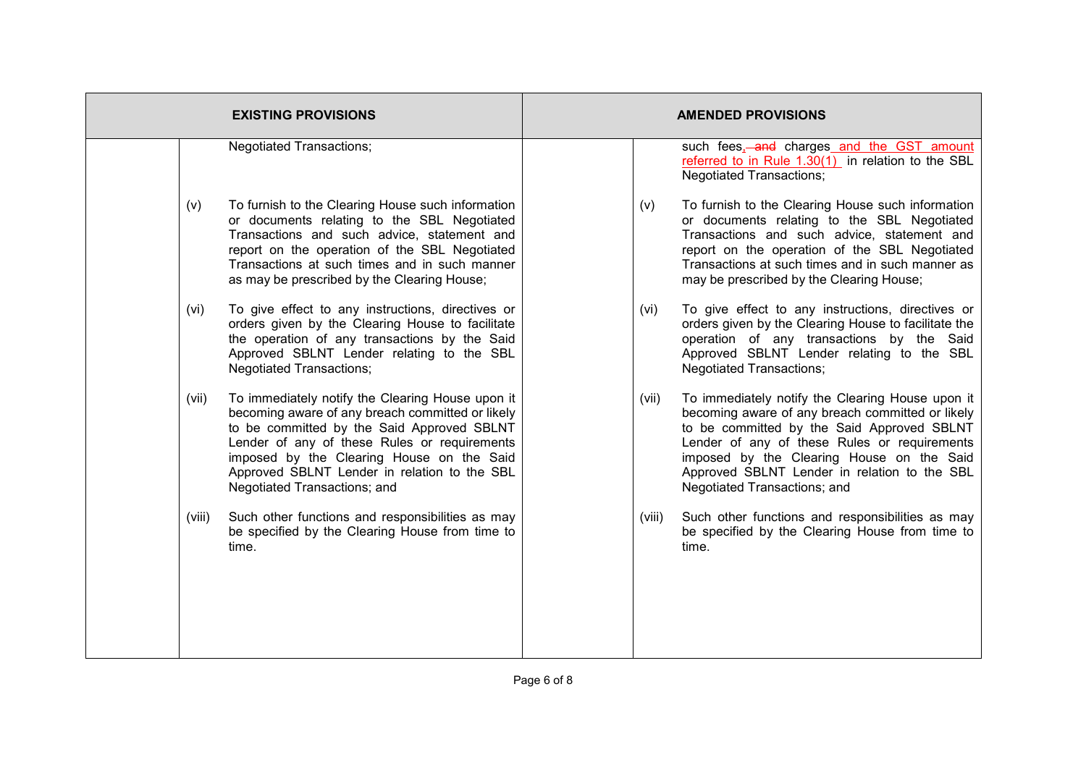|        | <b>EXISTING PROVISIONS</b>                                                                                                                                                                                                                                                                                                      |        | <b>AMENDED PROVISIONS</b>                                                                                                                                                                                                                                                                                                       |
|--------|---------------------------------------------------------------------------------------------------------------------------------------------------------------------------------------------------------------------------------------------------------------------------------------------------------------------------------|--------|---------------------------------------------------------------------------------------------------------------------------------------------------------------------------------------------------------------------------------------------------------------------------------------------------------------------------------|
|        | <b>Negotiated Transactions;</b>                                                                                                                                                                                                                                                                                                 |        | such fees <sub>1</sub> -and charges and the GST amount<br>referred to in Rule 1.30(1) in relation to the SBL<br><b>Negotiated Transactions;</b>                                                                                                                                                                                 |
| (v)    | To furnish to the Clearing House such information<br>or documents relating to the SBL Negotiated<br>Transactions and such advice, statement and<br>report on the operation of the SBL Negotiated<br>Transactions at such times and in such manner<br>as may be prescribed by the Clearing House;                                | (v)    | To furnish to the Clearing House such information<br>or documents relating to the SBL Negotiated<br>Transactions and such advice, statement and<br>report on the operation of the SBL Negotiated<br>Transactions at such times and in such manner as<br>may be prescribed by the Clearing House;                                |
| (vi)   | To give effect to any instructions, directives or<br>orders given by the Clearing House to facilitate<br>the operation of any transactions by the Said<br>Approved SBLNT Lender relating to the SBL<br><b>Negotiated Transactions;</b>                                                                                          | (vi)   | To give effect to any instructions, directives or<br>orders given by the Clearing House to facilitate the<br>operation of any transactions by the Said<br>Approved SBLNT Lender relating to the SBL<br><b>Negotiated Transactions;</b>                                                                                          |
| (vii)  | To immediately notify the Clearing House upon it<br>becoming aware of any breach committed or likely<br>to be committed by the Said Approved SBLNT<br>Lender of any of these Rules or requirements<br>imposed by the Clearing House on the Said<br>Approved SBLNT Lender in relation to the SBL<br>Negotiated Transactions; and | (vii)  | To immediately notify the Clearing House upon it<br>becoming aware of any breach committed or likely<br>to be committed by the Said Approved SBLNT<br>Lender of any of these Rules or requirements<br>imposed by the Clearing House on the Said<br>Approved SBLNT Lender in relation to the SBL<br>Negotiated Transactions; and |
| (viii) | Such other functions and responsibilities as may<br>be specified by the Clearing House from time to<br>time.                                                                                                                                                                                                                    | (viii) | Such other functions and responsibilities as may<br>be specified by the Clearing House from time to<br>time.                                                                                                                                                                                                                    |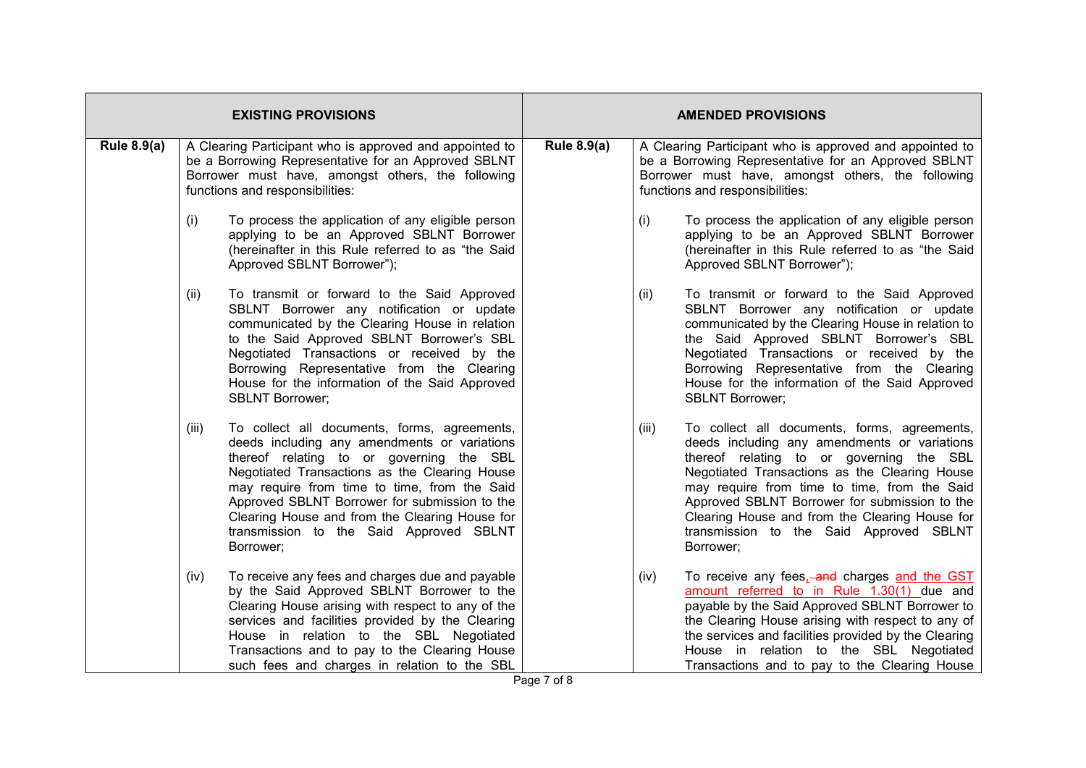| <b>EXISTING PROVISIONS</b> |                                                                                                                                                                                                        |                                                                                                                                                                                                                                                                                                                                                                                                      | <b>AMENDED PROVISIONS</b> |       |                                                                                                                                                                                                                                                                                                                                                                                                      |  |
|----------------------------|--------------------------------------------------------------------------------------------------------------------------------------------------------------------------------------------------------|------------------------------------------------------------------------------------------------------------------------------------------------------------------------------------------------------------------------------------------------------------------------------------------------------------------------------------------------------------------------------------------------------|---------------------------|-------|------------------------------------------------------------------------------------------------------------------------------------------------------------------------------------------------------------------------------------------------------------------------------------------------------------------------------------------------------------------------------------------------------|--|
| <b>Rule 8.9(a)</b>         | A Clearing Participant who is approved and appointed to<br>be a Borrowing Representative for an Approved SBLNT<br>Borrower must have, amongst others, the following<br>functions and responsibilities: |                                                                                                                                                                                                                                                                                                                                                                                                      | <b>Rule 8.9(a)</b>        |       | A Clearing Participant who is approved and appointed to<br>be a Borrowing Representative for an Approved SBLNT<br>Borrower must have, amongst others, the following<br>functions and responsibilities:                                                                                                                                                                                               |  |
|                            | (i)                                                                                                                                                                                                    | To process the application of any eligible person<br>applying to be an Approved SBLNT Borrower<br>(hereinafter in this Rule referred to as "the Said<br>Approved SBLNT Borrower");                                                                                                                                                                                                                   |                           | (i)   | To process the application of any eligible person<br>applying to be an Approved SBLNT Borrower<br>(hereinafter in this Rule referred to as "the Said<br>Approved SBLNT Borrower");                                                                                                                                                                                                                   |  |
|                            | (ii)                                                                                                                                                                                                   | To transmit or forward to the Said Approved<br>SBLNT Borrower any notification or update<br>communicated by the Clearing House in relation<br>to the Said Approved SBLNT Borrower's SBL<br>Negotiated Transactions or received by the<br>Borrowing Representative from the Clearing<br>House for the information of the Said Approved<br><b>SBLNT Borrower;</b>                                      |                           | (ii)  | To transmit or forward to the Said Approved<br>SBLNT Borrower any notification or update<br>communicated by the Clearing House in relation to<br>the Said Approved SBLNT Borrower's SBL<br>Negotiated Transactions or received by the<br>Borrowing Representative from the Clearing<br>House for the information of the Said Approved<br><b>SBLNT Borrower;</b>                                      |  |
|                            | (iii)                                                                                                                                                                                                  | To collect all documents, forms, agreements,<br>deeds including any amendments or variations<br>thereof relating to or governing the SBL<br>Negotiated Transactions as the Clearing House<br>may require from time to time, from the Said<br>Approved SBLNT Borrower for submission to the<br>Clearing House and from the Clearing House for<br>transmission to the Said Approved SBLNT<br>Borrower; |                           | (iii) | To collect all documents, forms, agreements,<br>deeds including any amendments or variations<br>thereof relating to or governing the SBL<br>Negotiated Transactions as the Clearing House<br>may require from time to time, from the Said<br>Approved SBLNT Borrower for submission to the<br>Clearing House and from the Clearing House for<br>transmission to the Said Approved SBLNT<br>Borrower; |  |
|                            | (iv)                                                                                                                                                                                                   | To receive any fees and charges due and payable<br>by the Said Approved SBLNT Borrower to the<br>Clearing House arising with respect to any of the<br>services and facilities provided by the Clearing<br>House in relation to the SBL Negotiated<br>Transactions and to pay to the Clearing House<br>such fees and charges in relation to the SBL                                                   |                           | (iv)  | To receive any fees, and charges and the GST<br>amount referred to in Rule 1.30(1) due and<br>payable by the Said Approved SBLNT Borrower to<br>the Clearing House arising with respect to any of<br>the services and facilities provided by the Clearing<br>House in relation to the SBL Negotiated<br>Transactions and to pay to the Clearing House                                                |  |